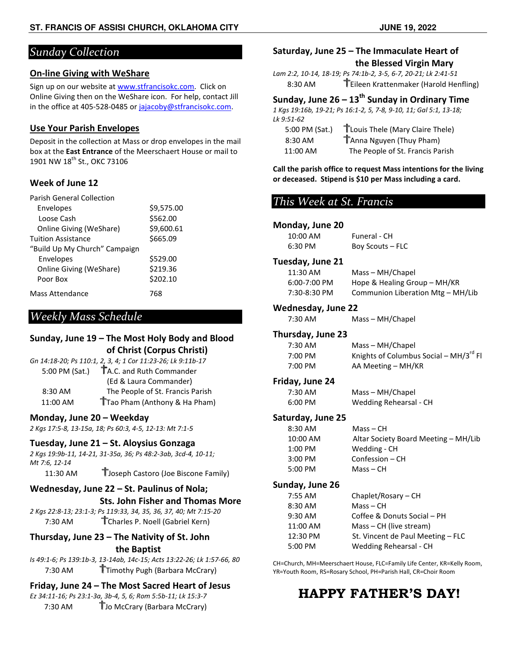# *Sunday Collection*

### **On-line Giving with WeShare**

Sign up on our website at **www.stfrancisokc.com**. Click on Online Giving then on the WeShare icon. For help, contact Jill in the office at 405-528-0485 or jajacoby@stfrancisokc.com.

### **Use Your Parish Envelopes**

Deposit in the collection at Mass or drop envelopes in the mail<br>box at the East Entrance of the Meerschaert House or mail to box at the **East Entrance** of the Meerschaert House 1901 NW 18<sup>th</sup> St., OKC 73106

### **Week of June 12**

| <b>Parish General Collection</b> |            |
|----------------------------------|------------|
| Envelopes                        | \$9,575.00 |
| Loose Cash                       | \$562.00   |
| <b>Online Giving (WeShare)</b>   | \$9,600.61 |
| <b>Tuition Assistance</b>        | \$665.09   |
| "Build Up My Church" Campaign    |            |
| Envelopes                        | \$529.00   |
| <b>Online Giving (WeShare)</b>   | \$219.36   |
| Poor Box                         | \$202.10   |
| Mass Attendance                  | 768        |

# *Weekly Mass Schedule*

### **Sunday, June 19 – The Most Holy Body and Blood Blood of Christ (Corpus Christi)**

|                | Gn 14:18-20; Ps 110:1, 2, 3, 4; 1 Cor 11:23-26; Lk 9:11b-17 |
|----------------|-------------------------------------------------------------|
| 5:00 PM (Sat.) | TA.C. and Ruth Commander                                    |
|                | (Ed & Laura Commander)                                      |
| 8:30 AM        | The People of St. Francis Parish                            |
| 11:00 AM       | Trao Pham (Anthony & Ha Pham)                               |
|                |                                                             |

### **Monday, June 20 – Weekday**

*2 Kgs 17:5-8, 13-15a, 18; Ps 60:3, 4-5, 12-13: Mt 7:1-5 5*

### **Tuesday, June 21 – St. Aloysius Gonzaga**

*2 Kgs 19:9b-11, 14-21, 31-35a, 36; Ps 48:2-3ab, 3cd-4, 10 4, 10-11; Mt 7:6, 12-14*

11:30 AM **T**Joseph Castoro (Joe Biscone Family)

# Wednesday, June 22 - St. Paulinus of Nola;

### **Sts. John Fisher and Thomas More**

2 Kgs 22:8-13; 23:1-3; Ps 119:33, 34, 35, 36, 37, 40; Mt 7:15-20 7:30 AM **T**Charles P. Noell (Gabriel Kern)

### **Thursday, June 23 – The Nativity of St. John the Baptist**

*Is 49:1-6; Ps 139:1b-3, 13-14ab, 14c-15; Acts 13:22-26; Lk 1:57 26; 1:57-66, 80*  7:30 AM **T**Timothy Pugh (Barbara McCrary)

# **Friday, June 24 – The Most Sacred Heart of Jesus**

*Ez 34:11-16; Ps 23:1-3a, 3b-4, 5, 6; Rom 5:5b-11; Lk 15:3 11; 15:3-7*  7:30 AM **T**Jo McCrary (Barbara McCrary)

### **Saturday, June 25 – The Immaculate Heart of the Blessed Virgin Mary Blessed Virgin**

*Lam 2:2, 10-14, 18-19; Ps 74:1b-2, 3 2, 3-5, 6-7, 20-21; Lk 2:41-51*  8:30 AM **T** Eileen Krattenmaker (Harold Henfling)

## **Sunday, June 26 – 13th Sunday in Ordinary Time**

*1 Kgs 19:16b, 19-21; Ps 16:1-2, 5, 7- -8, 9-10, 11; Gal 5:1, 13-18; Lk 9:51-62* 

| 5:00 PM (Sat.) | TLouis Thele (Mary Claire Thele) |
|----------------|----------------------------------|
| 8:30 AM        | TAnna Nguyen (Thuy Pham)         |
| 11:00 AM       | The People of St. Francis Parish |

Call the parish office to request Mass intentions for the living<br>or deceased. Stipend is \$10 per Mass including a card. **or deceased. Stipend is \$10 per Mass including a card.**

# *This Week at St. Francis Week*

### **Monday, June 20**

| 10:00 AM | Funeral - CH     |
|----------|------------------|
| 6:30 PM  | Boy Scouts - FLC |

#### **Tuesday, June 21**

| 11:30 AM       | Mass - MH/Chapel                  |
|----------------|-----------------------------------|
| $6:00-7:00$ PM | Hope & Healing Group – MH/KR      |
| 7:30-8:30 PM   | Communion Liberation Mtg - MH/Lib |

### **Wednesday, June 22**

# **Thursday, June 23**

| 7:30 AM           | Mass - MH/Chapel                            |
|-------------------|---------------------------------------------|
| Thursday, June 23 |                                             |
| $7:30$ AM         | Mass - MH/Chapel                            |
| $7:00 \text{ PM}$ | Knights of Columbus Social - $MH/3^{rd}$ Fl |
| $7:00 \text{ PM}$ | AA Meeting - MH/KR                          |
|                   |                                             |

### **Friday, June 24**

| 7:30 AM | Mass - MH/Chapel       |
|---------|------------------------|
| 6:00 PM | Wedding Rehearsal - CH |

### **Saturday, June 25**

| $8:30$ AM | Mass – CH                            |
|-----------|--------------------------------------|
| 10:00 AM  | Altar Society Board Meeting - MH/Lib |
| $1:00$ PM | Wedding - CH                         |
| $3:00$ PM | Confession $-$ CH                    |
| $5:00$ PM | Mass – CH                            |
|           |                                      |

### **Sunday, June 26**

| $7:55$ AM | Chaplet/Rosary - CH               |
|-----------|-----------------------------------|
| 8:30 AM   | $Mass - CH$                       |
| $9:30$ AM | Coffee & Donuts Social - PH       |
| 11:00 AM  | $Mass - CH$ (live stream)         |
| 12:30 PM  | St. Vincent de Paul Meeting - FLC |
| 5:00 PM   | Wedding Rehearsal - CH            |
|           |                                   |

CH=Church, MH=Meerschaert House, FLC=Family Life Center, KR=Kelly Room, CH=Church, MH=Meerschaert House, FLC=Family Life Center, KR=Ke<br>YR=Youth Room, RS=Rosary School, PH=Parish Hall, CR=Choir Room

# **HAPPY FATHER FATHER'S DAY!**